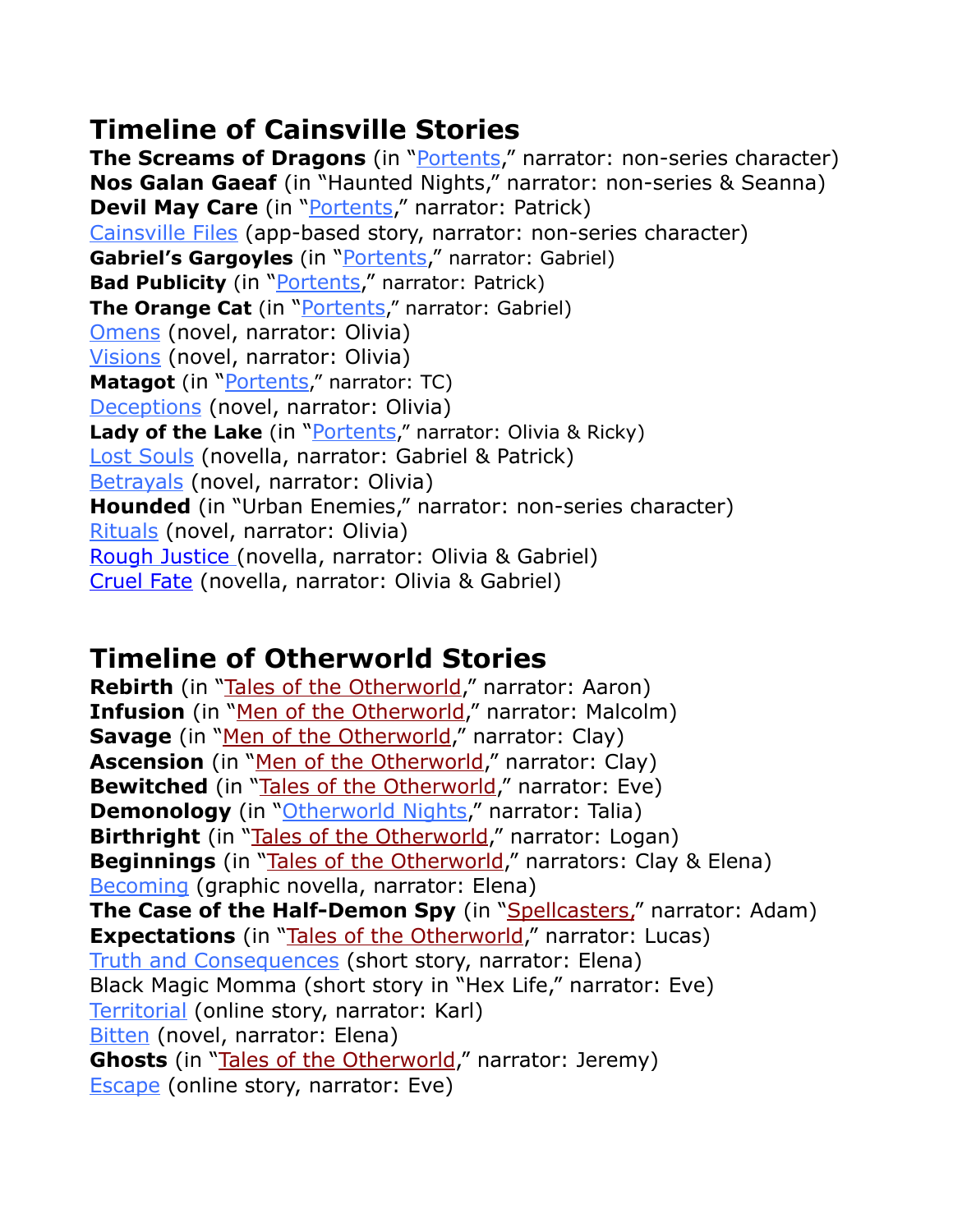## **Timeline of Cainsville Stories**

**The Screams of Dragons** (in "*Portents*," narrator: non-series character) **Nos Galan Gaeaf** (in "Haunted Nights," narrator: non-series & Seanna) **Devil May Care** (in "[Portents,](http://www.kelleyarmstrong.com/book/portents/)" narrator: Patrick) [Cainsville Files](http://www.kelleyarmstrong.com/cainsville-files/) (app-based story, narrator: non-series character) **Gabriel's Gargoyles** (in ["Portents](http://www.kelleyarmstrong.com/book/portents/)," narrator: Gabriel) **Bad Publicity** (in "[Portents,](http://www.kelleyarmstrong.com/book/portents/)" narrator: Patrick) **The Orange Cat** (in "[Portents,](http://www.kelleyarmstrong.com/book/portents/)" narrator: Gabriel) [Omens](http://www.kelleyarmstrong.com/omens/) (novel, narrator: Olivia) [Visions](http://www.kelleyarmstrong.com/visions/) (novel, narrator: Olivia) **Matagot** (in "[Portents](http://www.kelleyarmstrong.com/book/portents/)," narrator: TC) [Deceptions](http://www.kelleyarmstrong.com/deceptions/) (novel, narrator: Olivia) **Lady of the Lake** (in "*Portents*," narrator: Olivia & Ricky) [Lost Souls](http://www.kelleyarmstrong.com/book/lost-souls/) (novella, narrator: Gabriel & Patrick) [Betrayals](http://www.kelleyarmstrong.com/betrayals/) (novel, narrator: Olivia) **Hounded** (in "Urban Enemies," narrator: non-series character) [Rituals](http://www.kelleyarmstrong.com/rituals/) (novel, narrator: Olivia) [Rough Justice](http://www.kelleyarmstrong.com/book/rough-justice/) (novella, narrator: Olivia & Gabriel) [Cruel Fate](http://www.kelleyarmstrong.com/book/cruel-fate/) (novella, narrator: Olivia & Gabriel)

## **Timeline of Otherworld Stories**

**Rebirth** (in ["Tales of the Otherworld,](http://www.kelleyarmstrong.com/tales-of-the-otherworld/)" narrator: Aaron) **Infusion** (in "[Men of the Otherworld,](http://www.kelleyarmstrong.com/men-of-the-otherworld/)" narrator: Malcolm) **Savage** (in ["Men of the Otherworld,](http://www.kelleyarmstrong.com/men-of-the-otherworld/)" narrator: Clay) Ascension (in ["Men of the Otherworld,](http://www.kelleyarmstrong.com/men-of-the-otherworld/)" narrator: Clay) **Bewitched** (in "[Tales of the Otherworld,](http://www.kelleyarmstrong.com/tales-of-the-otherworld/)" narrator: Eve) **Demonology** (in "[Otherworld Nights](http://www.kelleyarmstrong.com/otherworld-nights/)," narrator: Talia) **Birthright** (in "[Tales of the Otherworld,](http://www.kelleyarmstrong.com/tales-of-the-otherworld/)" narrator: Logan) **Beginnings** (in "[Tales of the Otherworld,](http://www.kelleyarmstrong.com/tales-of-the-otherworld/)" narrators: Clay & Elena) [Becoming](http://www.kelleyarmstrong.com/becoming/) (graphic novella, narrator: Elena) **The Case of the Half-Demon Spy** (in "[Spellcasters](http://www.kelleyarmstrong.com/spellcasters/)," narrator: Adam) **Expectations** (in ["Tales of the Otherworld](http://www.kelleyarmstrong.com/tales-of-the-otherworld/)," narrator: Lucas) [Truth and Consequences](http://www.kelleyarmstrong.com/PDFs/TandC.pdf) (short story, narrator: Elena) Black Magic Momma (short story in "Hex Life," narrator: Eve) [Territorial](http://www.kelleyarmstrong.com/PDFs/Territorial.pdf) (online story, narrator: Karl) [Bitten](http://www.kelleyarmstrong.com/bitten/) (novel, narrator: Elena) **Ghosts** (in ["Tales of the Otherworld,](http://www.kelleyarmstrong.com/tales-of-the-otherworld/)" narrator: Jeremy) [Escape](http://www.kelleyarmstrong.com/PDFs/Escape.pdf) (online story, narrator: Eve)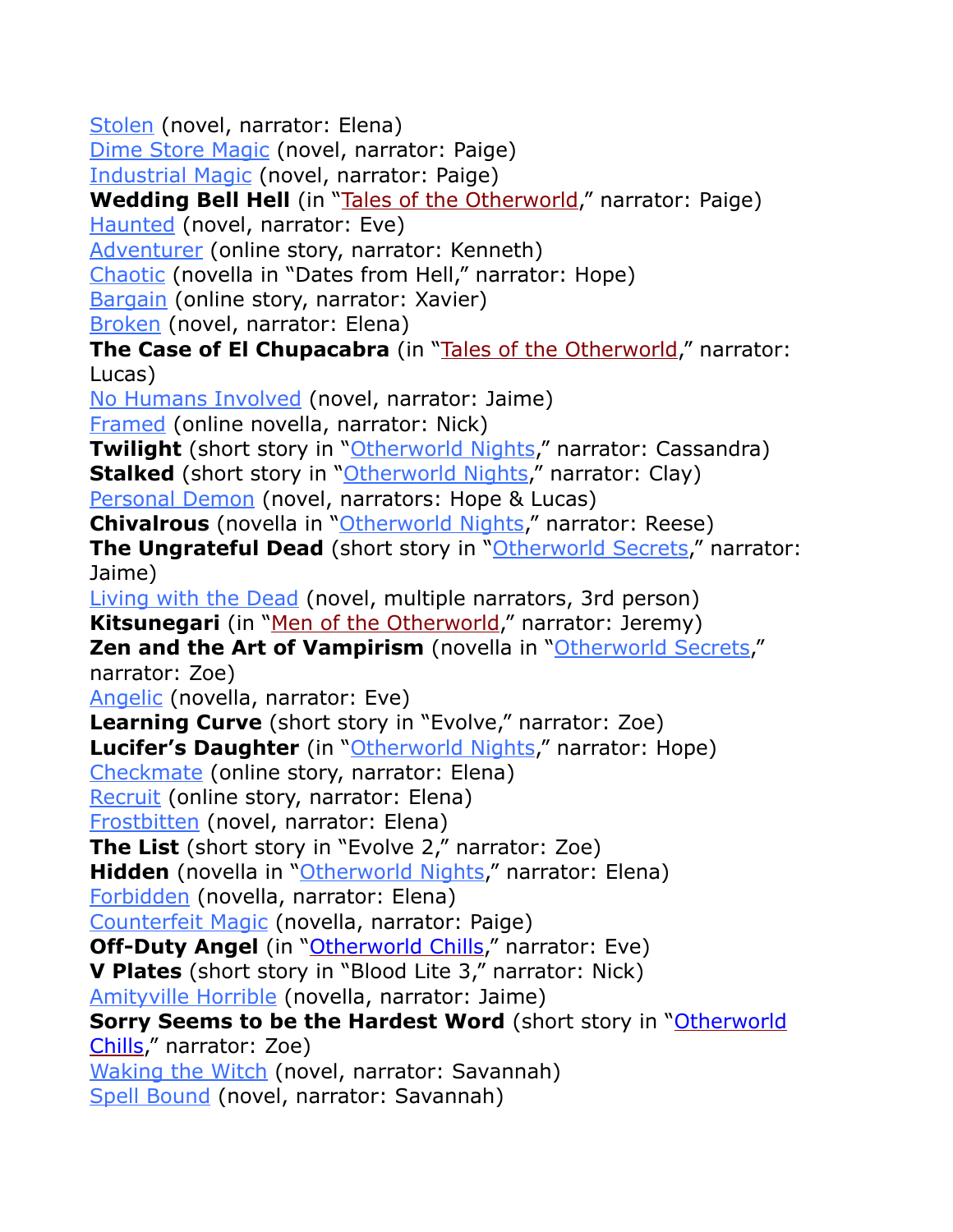[Stolen](http://www.kelleyarmstrong.com/stolen) (novel, narrator: Elena) [Dime Store Magic](http://www.kelleyarmstrong.com/dime-store-magic) (novel, narrator: Paige) [Industrial Magic](http://www.kelleyarmstrong.com/industrial-magic) (novel, narrator: Paige) **Wedding Bell Hell** (in ["Tales of the Otherworld,](http://www.kelleyarmstrong.com/tales-of-the-otherworld/)" narrator: Paige) [Haunted](http://www.kelleyarmstrong.com/haunted) (novel, narrator: Eve) [Adventurer](http://www.kelleyarmstrong.com/PDFs/Adventurer.pdf) (online story, narrator: Kenneth) [Chaotic](http://www.kelleyarmstrong.com/chaotic) (novella in "Dates from Hell," narrator: Hope) [Bargain](http://www.kelleyarmstrong.com/PDFs/Bargain.pdf) (online story, narrator: Xavier) [Broken](http://www.kelleyarmstrong.com/Broken) (novel, narrator: Elena) **The Case of El Chupacabra** (in ["Tales of the Otherworld,](http://www.kelleyarmstrong.com/tales-of-the-otherworld/)" narrator: Lucas) [No Humans Involved](http://www.kelleyarmstrong.com/no-humans-involved) (novel, narrator: Jaime) [Framed](http://www.kelleyarmstrong.com/PDFs/Framed.pdf) (online novella, narrator: Nick) **Twilight** (short story in ["Otherworld Nights,](http://www.kelleyarmstrong.com/otherworld-nights)" narrator: Cassandra) **Stalked** (short story in "[Otherworld Nights](http://www.kelleyarmstrong.com/otherworld-nights)," narrator: Clay) [Personal Demon](http://www.kelleyarmstrong.com/personal-demon) (novel, narrators: Hope & Lucas) **Chivalrous** (novella in ["Otherworld Nights,](http://www.kelleyarmstrong.com/otherworld-nights)" narrator: Reese) **The Ungrateful Dead** (short story in "[Otherworld Secrets](http://www.kelleyarmstrong.com/otherworld-secrets)," narrator: Jaime) [Living with the Dead](http://www.kelleyarmstrong.com/living-with-the-dead) (novel, multiple narrators, 3rd person) **Kitsunegari** (in ["Men of the Otherworld](http://www.kelleyarmstrong.com/men-of-the-otherworld/)," narrator: Jeremy) **Zen and the Art of Vampirism** (novella in ["Otherworld Secrets](http://www.kelleyarmstrong.com/otherworld-secrets)," narrator: Zoe) [Angelic](http://www.kelleyarmstrong.com/angelic/) (novella, narrator: Eve) **Learning Curve** (short story in "Evolve," narrator: Zoe) **Lucifer's Daughter** (in ["Otherworld Nights,](http://www.kelleyarmstrong.com/otherworld-nights)" narrator: Hope) [Checkmate](http://www.kelleyarmstrong.com/PDFs/Checkmate.pdf) (online story, narrator: Elena) [Recruit](http://www.kelleyarmstrong.com/PDFs/Recruit.pdf) (online story, narrator: Elena) [Frostbitten](http://www.kelleyarmstrong.com/frostbitten) (novel, narrator: Elena) **The List** (short story in "Evolve 2," narrator: Zoe) Hidden (novella in "[Otherworld Nights](http://www.kelleyarmstrong.com/otherworld-nights)," narrator: Elena) [Forbidden](http://www.kelleyarmstrong.com/forbidden/) (novella, narrator: Elena) [Counterfeit Magic](http://www.kelleyarmstrong.com/counterfeit-magic/) (novella, narrator: Paige) **Off-Duty Angel** (in "[Otherworld Chills,](http://www.kelleyarmstrong.com/book/otherworld-chills/)" narrator: Eve) **V Plates** (short story in "Blood Lite 3," narrator: Nick) [Amityville Horrible](http://www.kelleyarmstrong.com/amityville-horrible/) (novella, narrator: Jaime) **Sorry Seems to be the Hardest Word** (short story in "Otherworld [Chills](http://www.kelleyarmstrong.com/book/otherworld-chills/)," narrator: Zoe) [Waking the Witch](http://www.kelleyarmstrong.com/waking-the-witch/) (novel, narrator: Savannah) [Spell Bound](http://www.kelleyarmstrong.com/spell-bound/) (novel, narrator: Savannah)